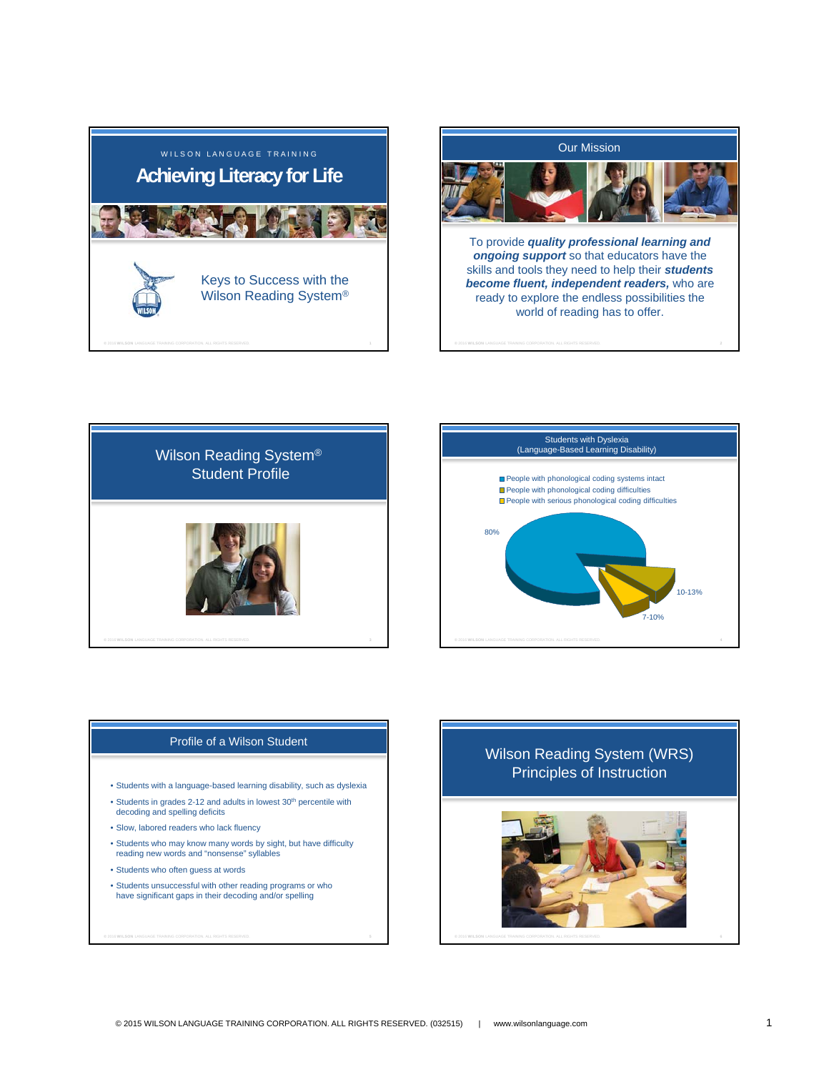



skills and tools they need to help their *students become fluent, independent readers,* who are ready to explore the endless possibilities the world of reading has to offer.





## Profile of a Wilson Student

- Students with a language-based learning disability, such as dyslexia
- Students in grades 2-12 and adults in lowest 30<sup>th</sup> percentile with decoding and spelling deficits
- Slow, labored readers who lack fluency
- Students who may know many words by sight, but have difficulty reading new words and "nonsense" syllables
- Students who often guess at words
- Students unsuccessful with other reading programs or who have significant gaps in their decoding and/or spelling

# Wilson Reading System (WRS) Principles of Instruction

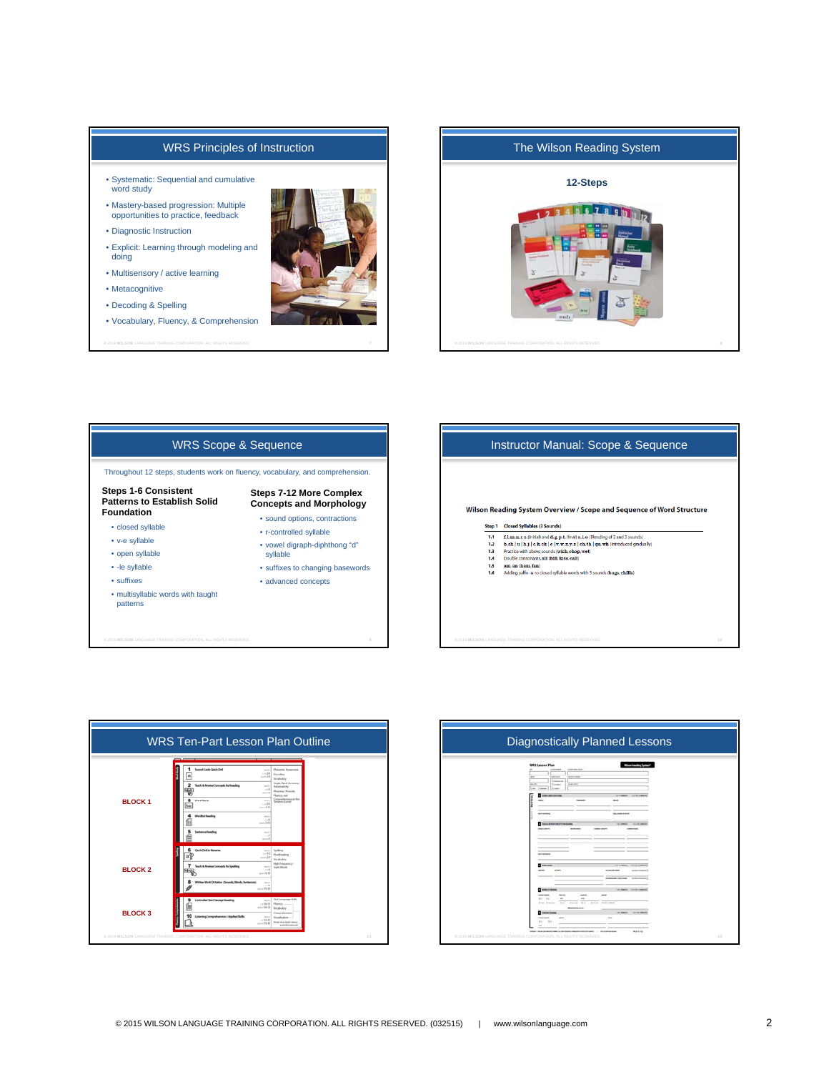# WRS Principles of Instruction

- Systematic: Sequential and cumulative word study
- Mastery-based progression: Multiple opportunities to practice, feedback
- Diagnostic Instruction
- Explicit: Learning through modeling and doing
- Multisensory / active learning
- Metacognitive
- Decoding & Spelling
- Vocabulary, Fluency, & Comprehension











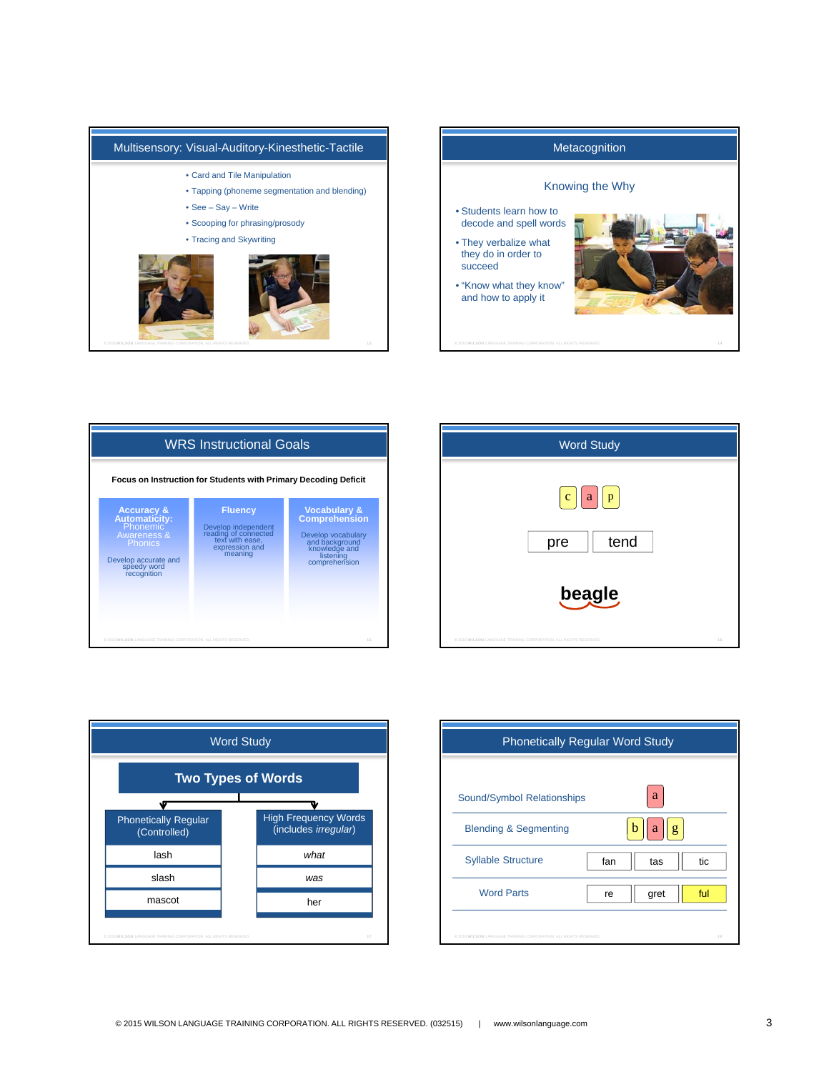









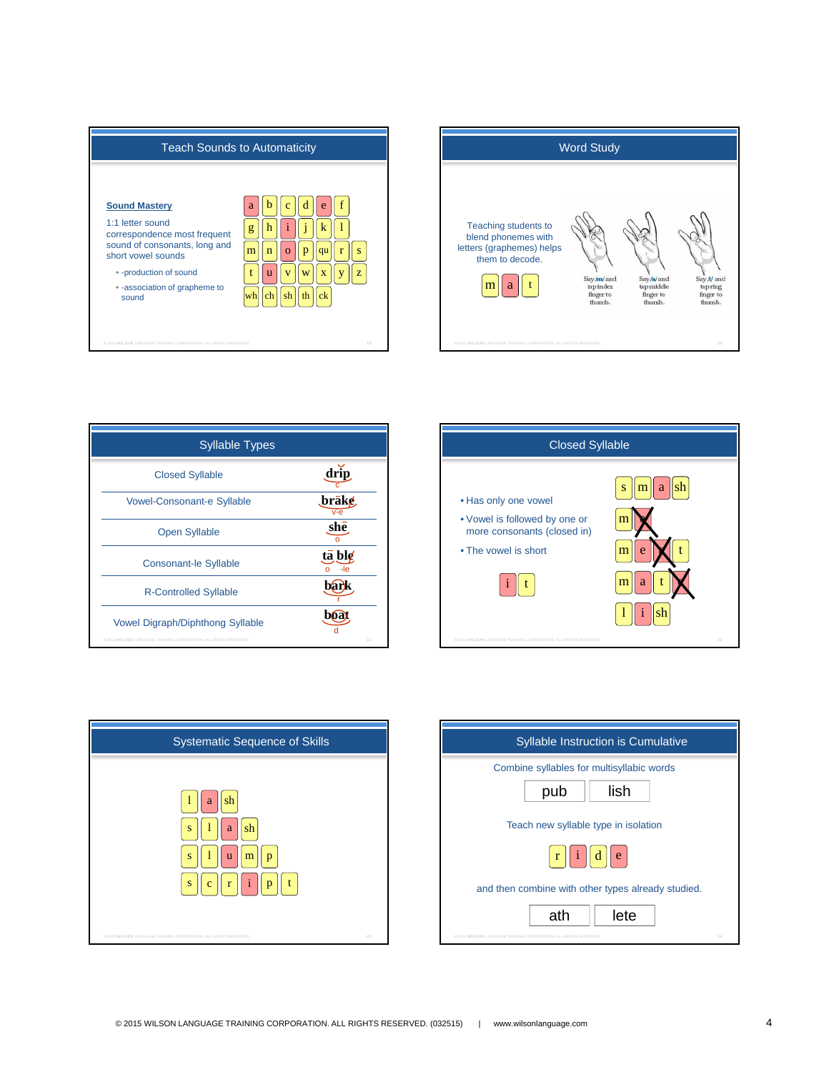



| <b>Syllable Types</b>                                                                                        |               |
|--------------------------------------------------------------------------------------------------------------|---------------|
| <b>Closed Syllable</b>                                                                                       | drip          |
| <b>Vowel-Consonant-e Syllable</b>                                                                            | .brāk¢        |
| <b>Open Syllable</b>                                                                                         | she           |
| <b>Consonant-le Syllable</b>                                                                                 | ta ble<br>-le |
| <b>R-Controlled Syllable</b>                                                                                 |               |
| <b>Vowel Digraph/Diphthong Syllable</b><br>@ 2016 WILSON LANGUAGE TRAINING CORPORATION. ALL RIGHTS RESERVED. | 21            |





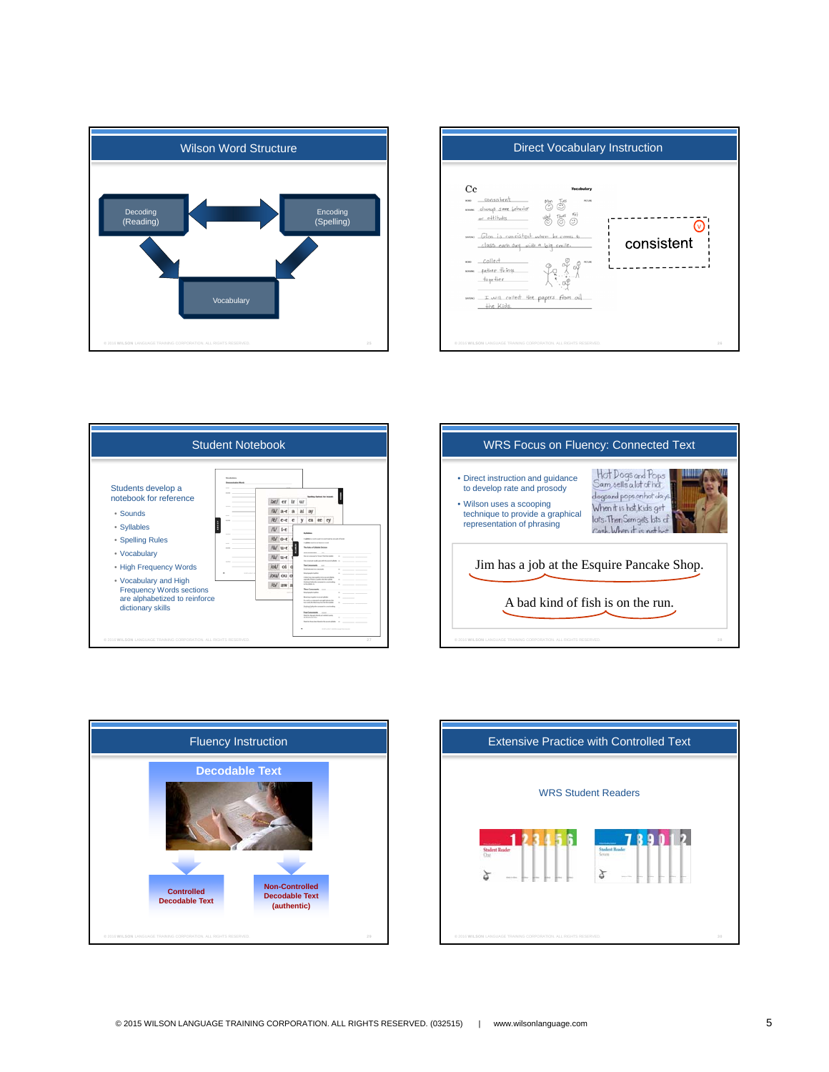









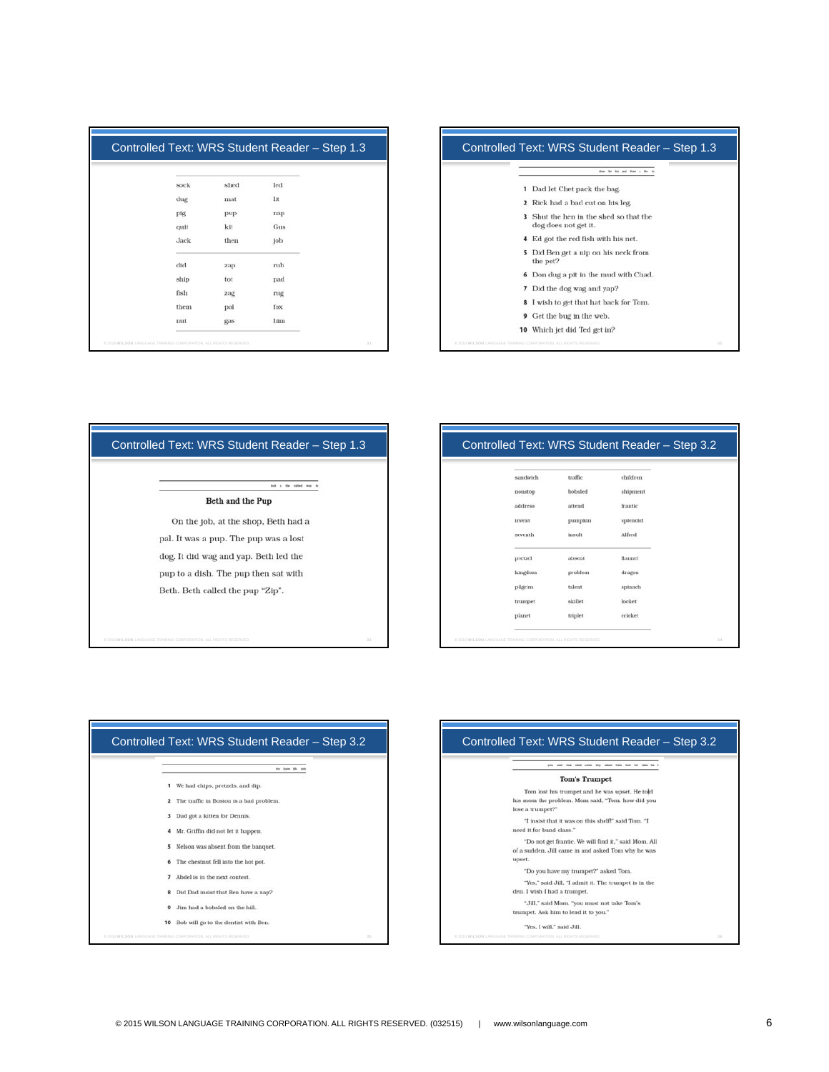| sock | shed | led |  |
|------|------|-----|--|
| dug  | mat  | lit |  |
| pig  | pup  | nap |  |
| quit | kit  | Gus |  |
| Jack | then | job |  |
| did  | zap  | rub |  |
| ship | tot  | pad |  |
| fish | zag  | rug |  |
| them | pal  | fox |  |
| nut  | gas  | him |  |



| Controlled Text: WRS Student Reader - Step 1.3       |
|------------------------------------------------------|
| a the collect                                        |
| Beth and the Pup                                     |
| On the job, at the shop, Beth had a                  |
| pal. It was a pup. The pup was a lost                |
| dog. It did wag and yap. Beth led the                |
| pup to a dish. The pup then sat with                 |
| Beth. Beth called the pup "Zip".                     |
|                                                      |
|                                                      |
| 33<br>IAGE TRAINING CORPORATION, ALL RIGHTS RESERVED |

## Controlled Text: WRS Student Reader – Step 3.2

| sandwich | traffic | children           |  |
|----------|---------|--------------------|--|
| noustop  | bobsled | shipment           |  |
| address  | attend  | frantic<br>n ann a |  |
| invent   | pumpkin | splendid           |  |
| seventh  | insult  | Alfred             |  |
| pretzel  | absent  | flannel            |  |
| kingdom  | problem | dragon             |  |
| pilgrim  | talent  | spinach            |  |
| trumpet  | skillet | locket             |  |
| planet   | triplet | cricket            |  |
|          |         |                    |  |





"Yes, I will," said Jill.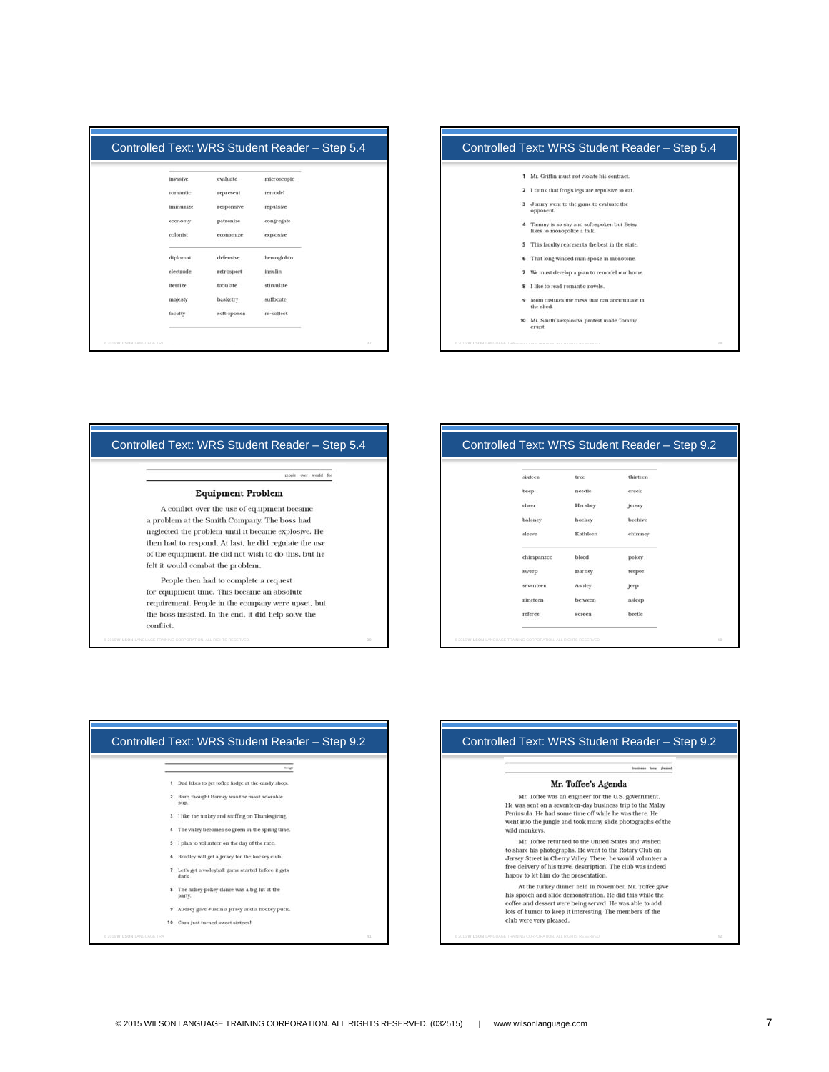| invasive       | evaluate    | microscopic |  |
|----------------|-------------|-------------|--|
| romantic       | represent   | remodel     |  |
| immunize       | responsive  | repulsive   |  |
| economy        | patronize   | congregate  |  |
| colonist       | economize   | explosive   |  |
| diplomat       | defensive   | hemoglobin  |  |
| electrode      | retrospect  | insulin     |  |
| <b>Itemize</b> | tabulate    | stimulate   |  |
| majesty        | basketry    | suffocate   |  |
| faculty        | soft-spoken | re-collect  |  |



| people over would                                     |
|-------------------------------------------------------|
| <b>Equipment Problem</b>                              |
| A conflict over the use of equipment became           |
| a problem at the Smith Company. The boss had          |
| neglected the problem until it became explosive. He   |
| then had to respond. At last, he did regulate the use |
| of the equipment. He did not wish to do this, but he  |
| felt it would combat the problem.                     |
| People then had to complete a request                 |
| for equipment time. This became an absolute           |
| requirement. People in the company were upset, but    |
| the boss insisted. In the end, it did help solve the  |
| conflict.                                             |

### Controlled Text: WRS Student Reader – Step 9.2

| sixteen                                | tree                        | thirteen |  |
|----------------------------------------|-----------------------------|----------|--|
| beep                                   | needle                      | creek    |  |
| cheer                                  | Hershey                     | jersey   |  |
| baloney                                | hockey                      | beehive  |  |
| sleeve                                 | Kathleen                    | chimney  |  |
| program and a structure.<br>chimpanzee | 32.001<br>bleed             | pokey.   |  |
| <b>COLLEGE AND</b><br>sweep            | Barney                      | teepee   |  |
| seventeen                              | Ashley                      | jeep     |  |
| nineteen                               | between                     | asleep   |  |
| referee                                | <b>CONSTRUCTS</b><br>screen | beetle   |  |
|                                        |                             |          |  |



# Controlled Text: WRS Student Reader – Step 9.2ses took pleased

### Mr. Toffee's Agenda

 $\,$  Mr. Toffee was an engineer for the U.S. government. He was sent on a seventeen-day business trip to the Malay Peninsula. He had some time off while he was there. He went into the jungle and took many slide photographs of the wild monkeys.

Mr. Toffee returned to the United States and wished Mr. toute returned to une united solutions and wisned<br>to share his photographs. He went to the Rotary Club on<br>Jersey Street in Cherry Valley. There, he would volunteer a<br>free delivery of his travel description. The club wa

At the turkey dinner held in November, Mr. Toffee gave his speech and slide demonstration. He did this while the<br>coffee and dessert were being served. He was able to add<br>lots of humor to keep it interesting. The members of the<br>club were very pleased.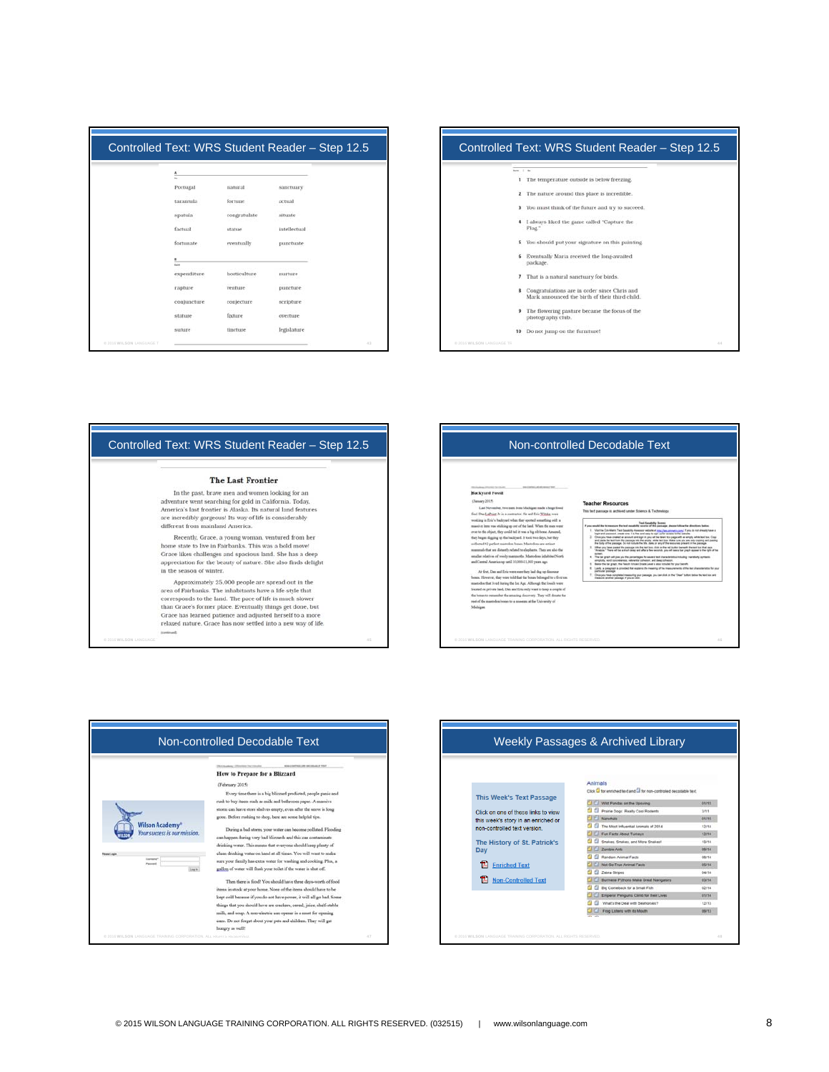| Portugal     | natural      | sanctuary    |  |
|--------------|--------------|--------------|--|
| tarantula    | fortune      | actual       |  |
| spatula      | congratulate | situate      |  |
| factual      | statue       | intellectual |  |
| fortunate    | eventually   | punctuate    |  |
| <b>Sales</b> |              |              |  |
| expenditure  | horticulture | nurture      |  |
| rapture      | venture      | puncture     |  |
| conjuncture  | conjecture   | scripture    |  |
|              | fixture      | overture     |  |



| Controlled Text: WRS Student Reader - Step 12.5                                                                                                                                                                                                                            |
|----------------------------------------------------------------------------------------------------------------------------------------------------------------------------------------------------------------------------------------------------------------------------|
| <b>The Last Frontier</b>                                                                                                                                                                                                                                                   |
| In the past, brave men and women looking for an<br>adventure went searching for gold in California. Today.<br>America's last frontier is Alaska. Its natural land features<br>are incredibly gorgeous! Its way of life is considerably<br>different from mainland America. |
| Recently, Grace, a young woman, ventured from her<br>home state to live in Fairbanks. This was a bold move!<br>Grace likes challenges and spacious land. She has a deep<br>appreciation for the beauty of nature. She also finds delight<br>in the season of winter.       |
| Approximately 25,000 people are spread out in the<br>area of Fairbanks. The inhabitants have a life-style that                                                                                                                                                             |

corresponds to the land. The pace of life is much slower Corresponds to the land. The pace of the final Grace's former place. Eventually things get done, but<br>Grace has learned patience and adjusted herself to a more<br>relaxed nature. Grace has now settled into a new way of life.





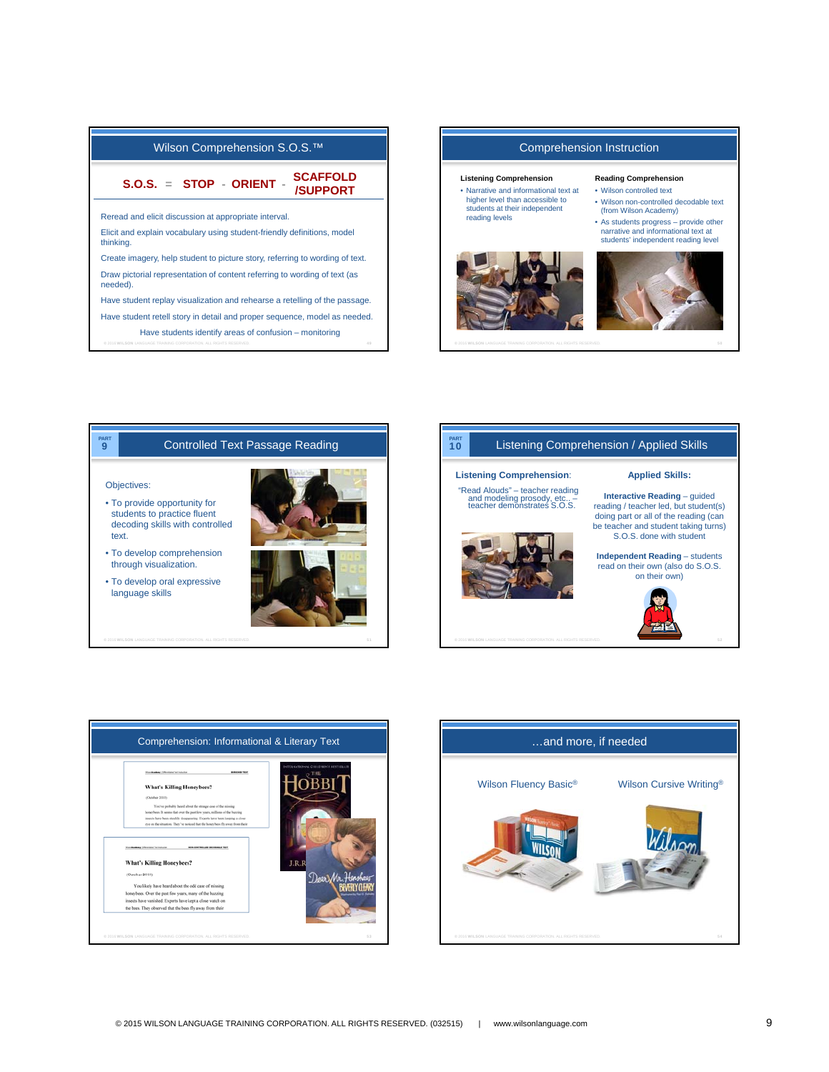

## Comprehension Instruction

#### **Listening Comprehension**

• Narrative and informational text at higher level than accessible to students at their independent reading levels



#### **Reading Comprehension** • Wilson controlled text

- Wilson non-controlled decodable text (from Wilson Academy)
- As students progress provide other narrative and informational text at students' independent reading level









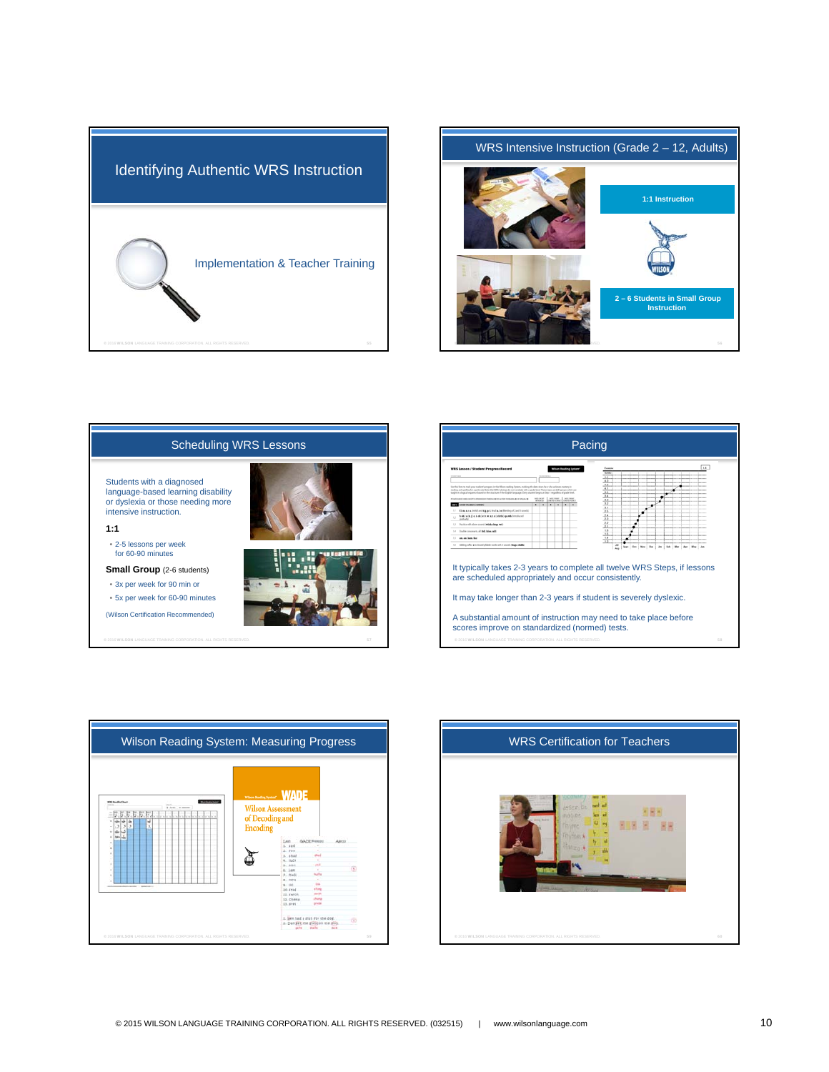





| Pacing                                                                                                                                                                                                                                                                                                                                                                                                                                                                                                           |                                                                            |  |  |  |
|------------------------------------------------------------------------------------------------------------------------------------------------------------------------------------------------------------------------------------------------------------------------------------------------------------------------------------------------------------------------------------------------------------------------------------------------------------------------------------------------------------------|----------------------------------------------------------------------------|--|--|--|
| <b>WRS Lesson / Student Progress Record</b><br>the this farm to track your student's progress in the Million models. Seniors, marking the date when he or the achieves manuscript                                                                                                                                                                                                                                                                                                                                | 4.4<br>Evangia<br>$\overline{ }$<br>$\overline{a}$<br>$^{11}$<br>32<br>3.1 |  |  |  |
| mading and spelling for a particular. Note that 1980 Substitute do not consider with a practicle and. These steps are skill proups which are<br>build in a logical wiperior based on the structure of the Dolfolt because. Every student begins at this 1 regardless of quade level.<br>In a primary in our channel as painted and the manufacturer and contacts and<br>$-1.1$<br><b>MARINEZ</b><br><b>PUB SALARITY 2 STRAY</b><br>٠<br>×<br>٠<br>$\mathbb{R}$<br>. .<br>!! Elmannimied@gpLfvdalefindqufJedfordi | 35<br>u<br>32<br>12<br>3.1<br>25                                           |  |  |  |
| habitath jis habitats was a stable things which colour<br>1.1 Practice with above country bright whose week<br>14 Double-concerns all BdE kins call:                                                                                                                                                                                                                                                                                                                                                             | 2.4<br>2.3<br>22.<br>2.1<br>18<br>$15 -$                                   |  |  |  |
| are an hom feet<br>$\sim$<br>14 Address of the dissolvation is seek with 3 smooth deeps studies                                                                                                                                                                                                                                                                                                                                                                                                                  | 14<br>1.2<br>Sept   Oct   New<br>1 Out<br>Am<br>Feb<br><b>Ma</b><br>Aug.   |  |  |  |
| are scheduled appropriately and occur consistently.                                                                                                                                                                                                                                                                                                                                                                                                                                                              | It typically takes 2-3 years to complete all twelve WRS Steps, if lessons  |  |  |  |
| It may take longer than 2-3 years if student is severely dyslexic.                                                                                                                                                                                                                                                                                                                                                                                                                                               |                                                                            |  |  |  |
| A substantial amount of instruction may need to take place before<br>scores improve on standardized (normed) tests.                                                                                                                                                                                                                                                                                                                                                                                              |                                                                            |  |  |  |
| @ 2016 WILSON LANGUAGE TRAINING CORPORATION. ALL RIGHTS RESERVED.                                                                                                                                                                                                                                                                                                                                                                                                                                                | 5.8                                                                        |  |  |  |



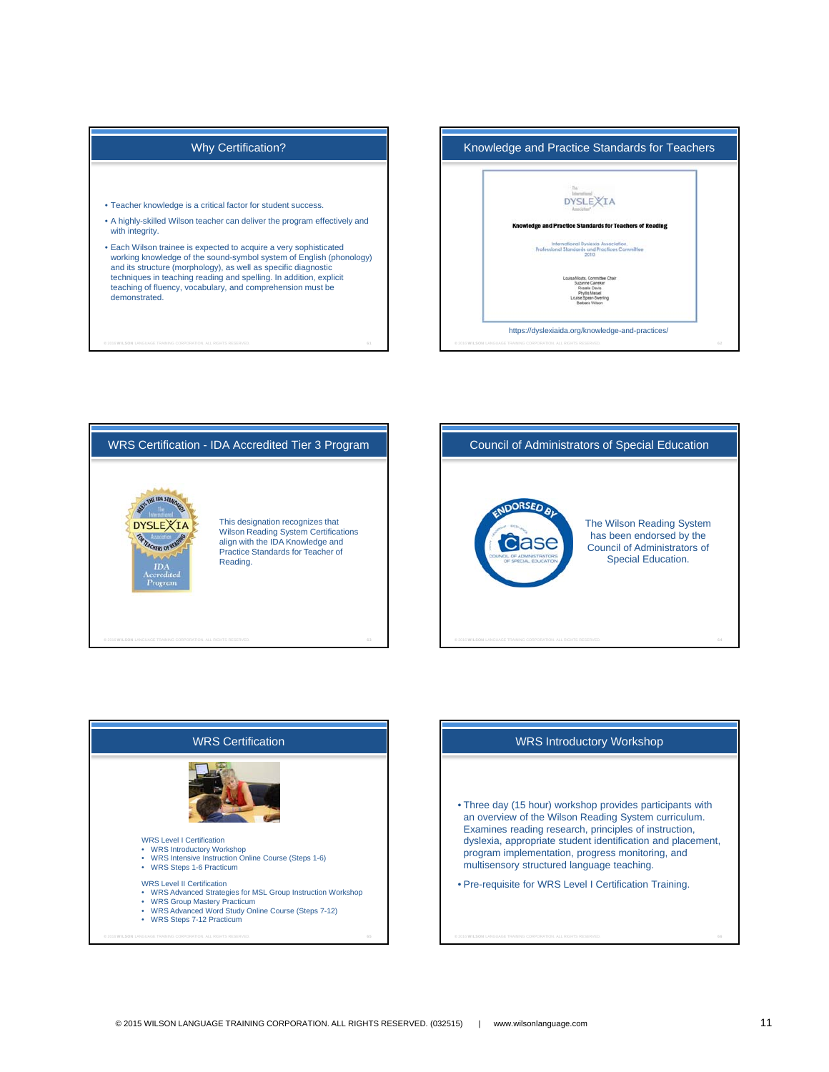# Why Certification?

- Teacher knowledge is a critical factor for student success.
- A highly-skilled Wilson teacher can deliver the program effectively and with integrity.
- Each Wilson trainee is expected to acquire a very sophisticated working knowledge of the sound-symbol system of English (phonology) and its structure (morphology), as well as specific diagnostic techniques in teaching reading and spelling. In addition, explicit teaching of fluency, vocabulary, and comprehension must be demonstrated.

**©** 2016 WILSON LANGUAGE TRAINING CORPORATION. ALL RIGHTS RESERVED. 61











- Three day (15 hour) workshop provides participants with an overview of the Wilson Reading System curriculum. Examines reading research, principles of instruction, dyslexia, appropriate student identification and placement, program implementation, progress monitoring, and multisensory structured language teaching.
- Pre-requisite for WRS Level I Certification Training.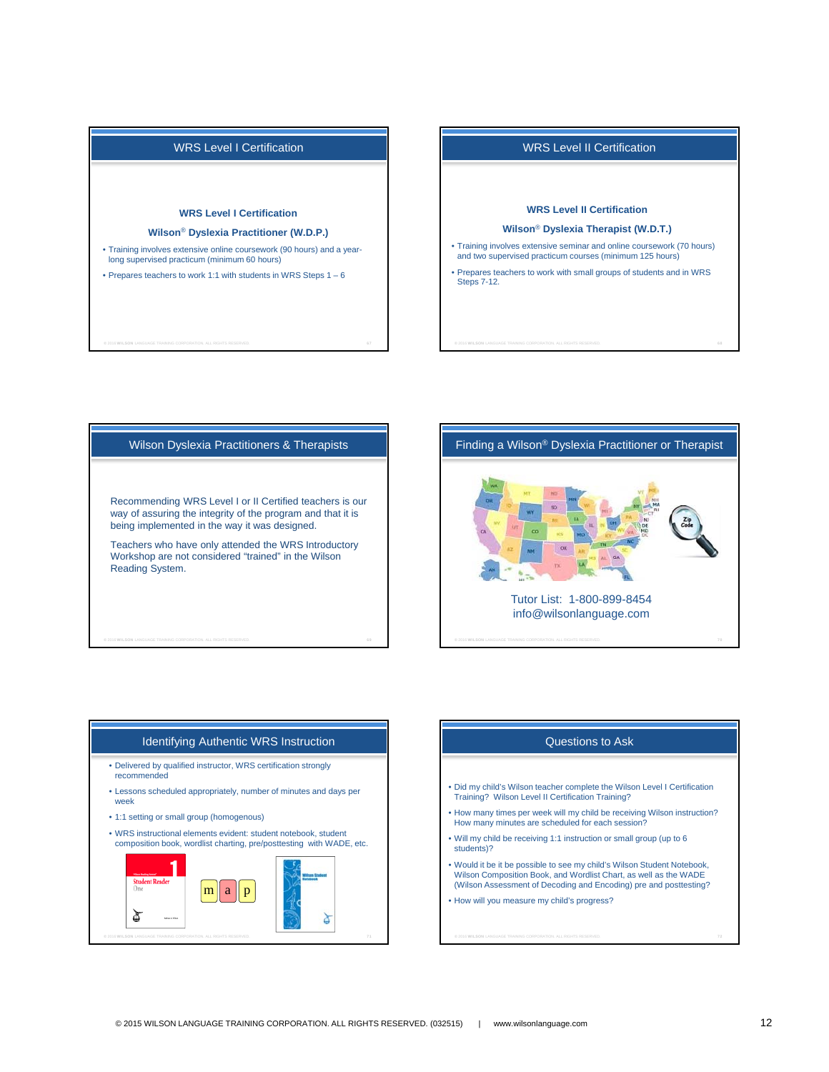

**©** 2016 WILSON LANGUAGE TRAINING CORPORATION. ALL RIGHTS RESERVED. 67

# WRS Level II Certification

#### **WRS Level II Certification**

#### **Wilson**® **Dyslexia Therapist (W.D.T.)**

- Training involves extensive seminar and online coursework (70 hours) and two supervised practicum courses (minimum 125 hours)
- Prepares teachers to work with small groups of students and in WRS Steps 7-12.

Wilson Dyslexia Practitioners & Therapists Recommending WRS Level I or II Certified teachers is our way of assuring the integrity of the program and that it is being implemented in the way it was designed. Teachers who have only attended the WRS Introductory Workshop are not considered "trained" in the Wilson Reading System.



# Identifying Authentic WRS Instruction • Delivered by qualified instructor, WRS certification strongly recommended

- Lessons scheduled appropriately, number of minutes and days per week
- 1:1 setting or small group (homogenous)
- WRS instructional elements evident: student notebook, student composition book, wordlist charting, pre/posttesting with WADE, etc.



## Questions to Ask

- Did my child's Wilson teacher complete the Wilson Level I Certification Training? Wilson Level II Certification Training?
- How many times per week will my child be receiving Wilson instruction? How many minutes are scheduled for each session?
- Will my child be receiving 1:1 instruction or small group (up to 6 students)?
- Would it be it be possible to see my child's Wilson Student Notebook, Wilson Composition Book, and Wordlist Chart, as well as the WADE (Wilson Assessment of Decoding and Encoding) pre and posttesting?
- How will you measure my child's progress?